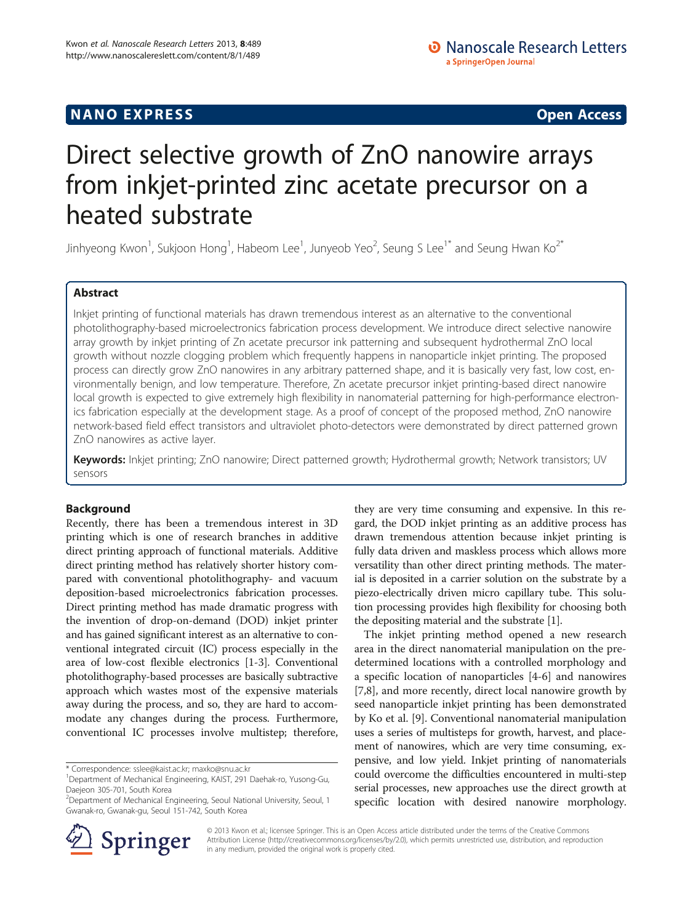# **NANO EXPRESS** Open Access and the set of the set of the set of the set of the set of the set of the set of the set of the set of the set of the set of the set of the set of the set of the set of the set of the set of the

# Direct selective growth of ZnO nanowire arrays from inkjet-printed zinc acetate precursor on a heated substrate

Jinhyeong Kwon $^1$ , Sukjoon Hong $^1$ , Habeom Lee $^1$ , Junyeob Yeo $^2$ , Seung S Lee $^{1^\ast}$  and Seung Hwan Ko $^{2^\ast}$ 

# Abstract

Inkjet printing of functional materials has drawn tremendous interest as an alternative to the conventional photolithography-based microelectronics fabrication process development. We introduce direct selective nanowire array growth by inkjet printing of Zn acetate precursor ink patterning and subsequent hydrothermal ZnO local growth without nozzle clogging problem which frequently happens in nanoparticle inkjet printing. The proposed process can directly grow ZnO nanowires in any arbitrary patterned shape, and it is basically very fast, low cost, environmentally benign, and low temperature. Therefore, Zn acetate precursor inkjet printing-based direct nanowire local growth is expected to give extremely high flexibility in nanomaterial patterning for high-performance electronics fabrication especially at the development stage. As a proof of concept of the proposed method, ZnO nanowire network-based field effect transistors and ultraviolet photo-detectors were demonstrated by direct patterned grown ZnO nanowires as active layer.

Keywords: Inkjet printing; ZnO nanowire; Direct patterned growth; Hydrothermal growth; Network transistors; UV sensors

## Background

Recently, there has been a tremendous interest in 3D printing which is one of research branches in additive direct printing approach of functional materials. Additive direct printing method has relatively shorter history compared with conventional photolithography- and vacuum deposition-based microelectronics fabrication processes. Direct printing method has made dramatic progress with the invention of drop-on-demand (DOD) inkjet printer and has gained significant interest as an alternative to conventional integrated circuit (IC) process especially in the area of low-cost flexible electronics [[1-3\]](#page-5-0). Conventional photolithography-based processes are basically subtractive approach which wastes most of the expensive materials away during the process, and so, they are hard to accommodate any changes during the process. Furthermore, conventional IC processes involve multistep; therefore,

\* Correspondence: [sslee@kaist.ac.kr;](mailto:sslee@kaist.ac.kr) [maxko@snu.ac.kr](mailto:maxko@snu.ac.kr) <sup>1</sup>



The inkjet printing method opened a new research area in the direct nanomaterial manipulation on the predetermined locations with a controlled morphology and a specific location of nanoparticles [[4](#page-5-0)-[6\]](#page-5-0) and nanowires [[7,8\]](#page-5-0), and more recently, direct local nanowire growth by seed nanoparticle inkjet printing has been demonstrated by Ko et al. [\[9\]](#page-5-0). Conventional nanomaterial manipulation uses a series of multisteps for growth, harvest, and placement of nanowires, which are very time consuming, expensive, and low yield. Inkjet printing of nanomaterials could overcome the difficulties encountered in multi-step serial processes, new approaches use the direct growth at specific location with desired nanowire morphology.



© 2013 Kwon et al.; licensee Springer. This is an Open Access article distributed under the terms of the Creative Commons Attribution License [\(http://creativecommons.org/licenses/by/2.0\)](http://creativecommons.org/licenses/by/2.0), which permits unrestricted use, distribution, and reproduction in any medium, provided the original work is properly cited.

Department of Mechanical Engineering, KAIST, 291 Daehak-ro, Yusong-Gu, Daejeon 305-701, South Korea

<sup>&</sup>lt;sup>2</sup> Department of Mechanical Engineering, Seoul National University, Seoul, 1 Gwanak-ro, Gwanak-gu, Seoul 151-742, South Korea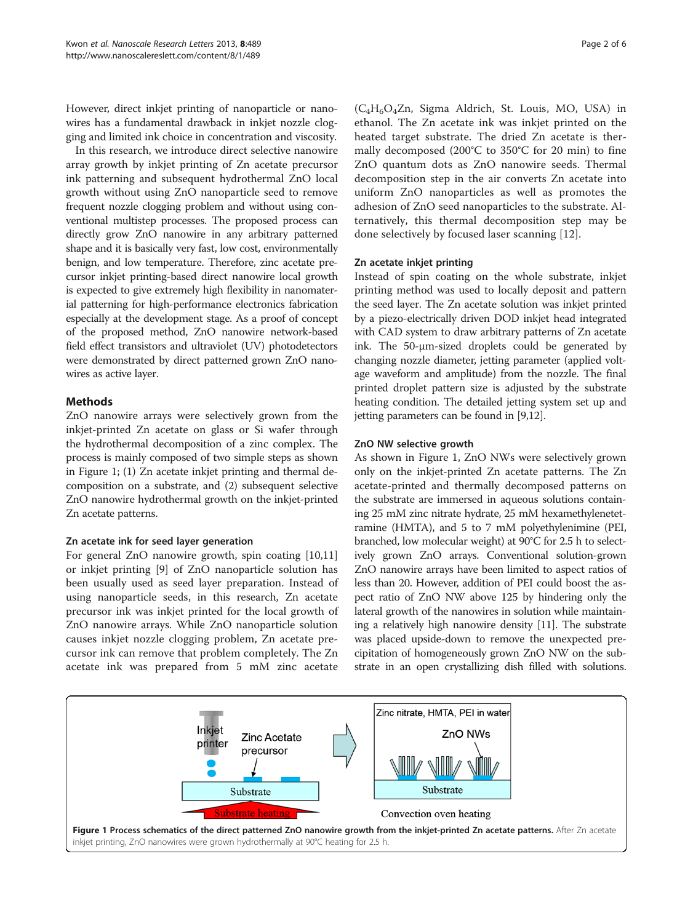<span id="page-1-0"></span>However, direct inkjet printing of nanoparticle or nanowires has a fundamental drawback in inkjet nozzle clogging and limited ink choice in concentration and viscosity.

In this research, we introduce direct selective nanowire array growth by inkjet printing of Zn acetate precursor ink patterning and subsequent hydrothermal ZnO local growth without using ZnO nanoparticle seed to remove frequent nozzle clogging problem and without using conventional multistep processes. The proposed process can directly grow ZnO nanowire in any arbitrary patterned shape and it is basically very fast, low cost, environmentally benign, and low temperature. Therefore, zinc acetate precursor inkjet printing-based direct nanowire local growth is expected to give extremely high flexibility in nanomaterial patterning for high-performance electronics fabrication especially at the development stage. As a proof of concept of the proposed method, ZnO nanowire network-based field effect transistors and ultraviolet (UV) photodetectors were demonstrated by direct patterned grown ZnO nanowires as active layer.

# Methods

ZnO nanowire arrays were selectively grown from the inkjet-printed Zn acetate on glass or Si wafer through the hydrothermal decomposition of a zinc complex. The process is mainly composed of two simple steps as shown in Figure 1; (1) Zn acetate inkjet printing and thermal decomposition on a substrate, and (2) subsequent selective ZnO nanowire hydrothermal growth on the inkjet-printed Zn acetate patterns.

## Zn acetate ink for seed layer generation

For general ZnO nanowire growth, spin coating [[10](#page-5-0),[11](#page-5-0)] or inkjet printing [[9\]](#page-5-0) of ZnO nanoparticle solution has been usually used as seed layer preparation. Instead of using nanoparticle seeds, in this research, Zn acetate precursor ink was inkjet printed for the local growth of ZnO nanowire arrays. While ZnO nanoparticle solution causes inkjet nozzle clogging problem, Zn acetate precursor ink can remove that problem completely. The Zn acetate ink was prepared from 5 mM zinc acetate

 $(C_4H_6O_4Zn$ , Sigma Aldrich, St. Louis, MO, USA) in ethanol. The Zn acetate ink was inkjet printed on the heated target substrate. The dried Zn acetate is thermally decomposed (200°C to 350°C for 20 min) to fine ZnO quantum dots as ZnO nanowire seeds. Thermal decomposition step in the air converts Zn acetate into uniform ZnO nanoparticles as well as promotes the adhesion of ZnO seed nanoparticles to the substrate. Alternatively, this thermal decomposition step may be done selectively by focused laser scanning [\[12](#page-5-0)].

## Zn acetate inkjet printing

Instead of spin coating on the whole substrate, inkjet printing method was used to locally deposit and pattern the seed layer. The Zn acetate solution was inkjet printed by a piezo-electrically driven DOD inkjet head integrated with CAD system to draw arbitrary patterns of Zn acetate ink. The 50-μm-sized droplets could be generated by changing nozzle diameter, jetting parameter (applied voltage waveform and amplitude) from the nozzle. The final printed droplet pattern size is adjusted by the substrate heating condition. The detailed jetting system set up and jetting parameters can be found in [[9,12](#page-5-0)].

## ZnO NW selective growth

As shown in Figure 1, ZnO NWs were selectively grown only on the inkjet-printed Zn acetate patterns. The Zn acetate-printed and thermally decomposed patterns on the substrate are immersed in aqueous solutions containing 25 mM zinc nitrate hydrate, 25 mM hexamethylenetetramine (HMTA), and 5 to 7 mM polyethylenimine (PEI, branched, low molecular weight) at 90°C for 2.5 h to selectively grown ZnO arrays. Conventional solution-grown ZnO nanowire arrays have been limited to aspect ratios of less than 20. However, addition of PEI could boost the aspect ratio of ZnO NW above 125 by hindering only the lateral growth of the nanowires in solution while maintaining a relatively high nanowire density [[11](#page-5-0)]. The substrate was placed upside-down to remove the unexpected precipitation of homogeneously grown ZnO NW on the substrate in an open crystallizing dish filled with solutions.

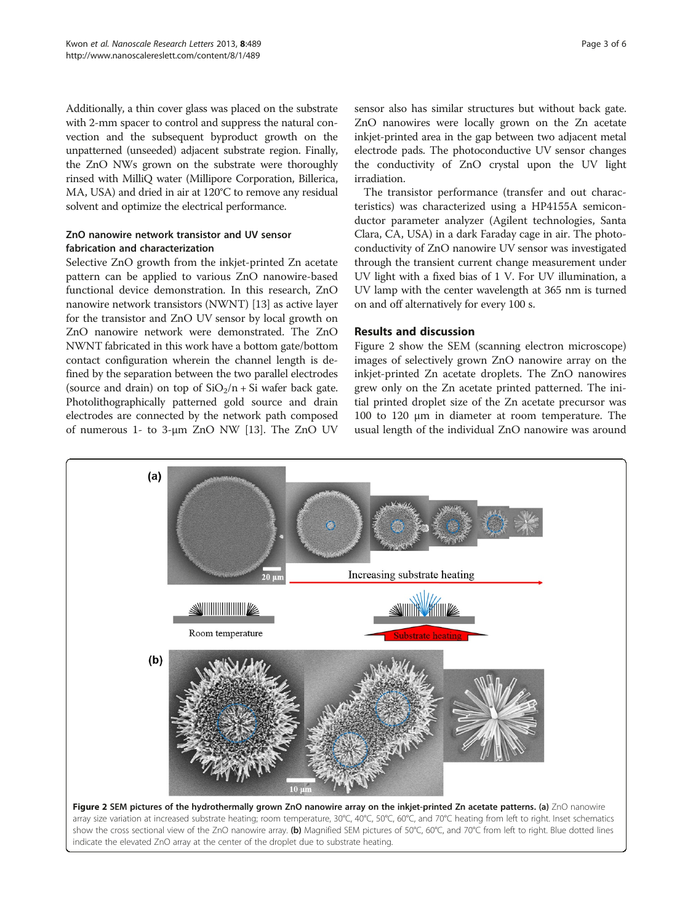<span id="page-2-0"></span>Additionally, a thin cover glass was placed on the substrate with 2-mm spacer to control and suppress the natural convection and the subsequent byproduct growth on the unpatterned (unseeded) adjacent substrate region. Finally, the ZnO NWs grown on the substrate were thoroughly rinsed with MilliQ water (Millipore Corporation, Billerica, MA, USA) and dried in air at 120°C to remove any residual solvent and optimize the electrical performance.

# ZnO nanowire network transistor and UV sensor fabrication and characterization

Selective ZnO growth from the inkjet-printed Zn acetate pattern can be applied to various ZnO nanowire-based functional device demonstration. In this research, ZnO nanowire network transistors (NWNT) [[13](#page-5-0)] as active layer for the transistor and ZnO UV sensor by local growth on ZnO nanowire network were demonstrated. The ZnO NWNT fabricated in this work have a bottom gate/bottom contact configuration wherein the channel length is defined by the separation between the two parallel electrodes (source and drain) on top of  $SiO<sub>2</sub>/n + Si$  wafer back gate. Photolithographically patterned gold source and drain electrodes are connected by the network path composed of numerous 1- to 3-μm ZnO NW [[13](#page-5-0)]. The ZnO UV

sensor also has similar structures but without back gate. ZnO nanowires were locally grown on the Zn acetate inkjet-printed area in the gap between two adjacent metal electrode pads. The photoconductive UV sensor changes the conductivity of ZnO crystal upon the UV light irradiation.

The transistor performance (transfer and out characteristics) was characterized using a HP4155A semiconductor parameter analyzer (Agilent technologies, Santa Clara, CA, USA) in a dark Faraday cage in air. The photoconductivity of ZnO nanowire UV sensor was investigated through the transient current change measurement under UV light with a fixed bias of 1 V. For UV illumination, a UV lamp with the center wavelength at 365 nm is turned on and off alternatively for every 100 s.

# Results and discussion

Figure 2 show the SEM (scanning electron microscope) images of selectively grown ZnO nanowire array on the inkjet-printed Zn acetate droplets. The ZnO nanowires grew only on the Zn acetate printed patterned. The initial printed droplet size of the Zn acetate precursor was 100 to 120 μm in diameter at room temperature. The usual length of the individual ZnO nanowire was around

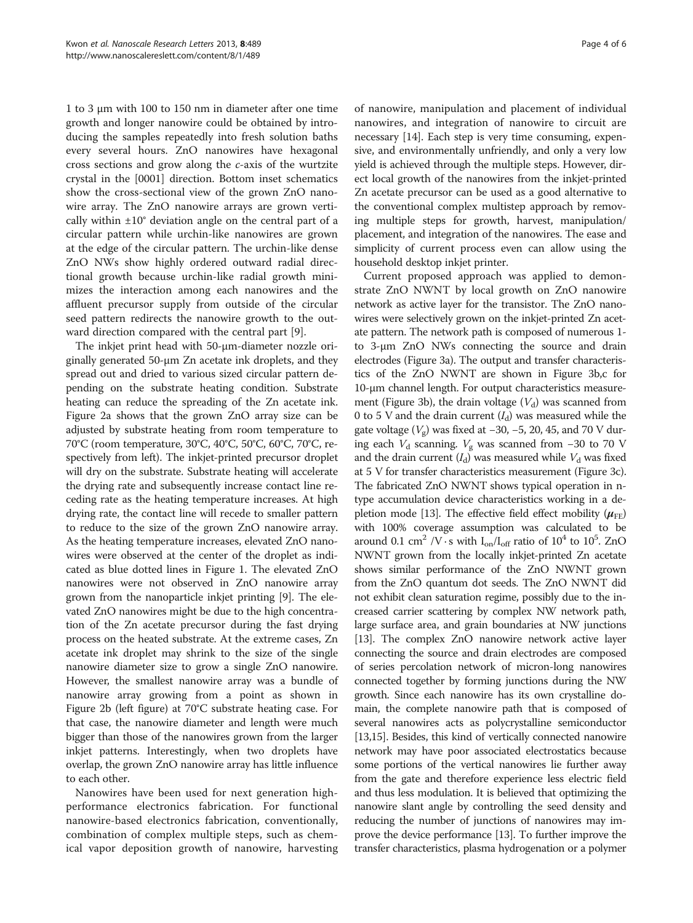1 to 3 μm with 100 to 150 nm in diameter after one time growth and longer nanowire could be obtained by introducing the samples repeatedly into fresh solution baths every several hours. ZnO nanowires have hexagonal cross sections and grow along the c-axis of the wurtzite crystal in the [0001] direction. Bottom inset schematics show the cross-sectional view of the grown ZnO nanowire array. The ZnO nanowire arrays are grown vertically within  $\pm 10^{\circ}$  deviation angle on the central part of a circular pattern while urchin-like nanowires are grown at the edge of the circular pattern. The urchin-like dense ZnO NWs show highly ordered outward radial directional growth because urchin-like radial growth minimizes the interaction among each nanowires and the affluent precursor supply from outside of the circular seed pattern redirects the nanowire growth to the outward direction compared with the central part [\[9](#page-5-0)].

The inkjet print head with 50-μm-diameter nozzle originally generated 50-μm Zn acetate ink droplets, and they spread out and dried to various sized circular pattern depending on the substrate heating condition. Substrate heating can reduce the spreading of the Zn acetate ink. Figure [2](#page-2-0)a shows that the grown ZnO array size can be adjusted by substrate heating from room temperature to 70°C (room temperature, 30°C, 40°C, 50°C, 60°C, 70°C, respectively from left). The inkjet-printed precursor droplet will dry on the substrate. Substrate heating will accelerate the drying rate and subsequently increase contact line receding rate as the heating temperature increases. At high drying rate, the contact line will recede to smaller pattern to reduce to the size of the grown ZnO nanowire array. As the heating temperature increases, elevated ZnO nanowires were observed at the center of the droplet as indicated as blue dotted lines in Figure [1](#page-1-0). The elevated ZnO nanowires were not observed in ZnO nanowire array grown from the nanoparticle inkjet printing [[9\]](#page-5-0). The elevated ZnO nanowires might be due to the high concentration of the Zn acetate precursor during the fast drying process on the heated substrate. At the extreme cases, Zn acetate ink droplet may shrink to the size of the single nanowire diameter size to grow a single ZnO nanowire. However, the smallest nanowire array was a bundle of nanowire array growing from a point as shown in Figure [2](#page-2-0)b (left figure) at 70°C substrate heating case. For that case, the nanowire diameter and length were much bigger than those of the nanowires grown from the larger inkjet patterns. Interestingly, when two droplets have overlap, the grown ZnO nanowire array has little influence to each other.

Nanowires have been used for next generation highperformance electronics fabrication. For functional nanowire-based electronics fabrication, conventionally, combination of complex multiple steps, such as chemical vapor deposition growth of nanowire, harvesting

of nanowire, manipulation and placement of individual nanowires, and integration of nanowire to circuit are necessary [\[14\]](#page-5-0). Each step is very time consuming, expensive, and environmentally unfriendly, and only a very low yield is achieved through the multiple steps. However, direct local growth of the nanowires from the inkjet-printed Zn acetate precursor can be used as a good alternative to the conventional complex multistep approach by removing multiple steps for growth, harvest, manipulation/ placement, and integration of the nanowires. The ease and simplicity of current process even can allow using the household desktop inkjet printer.

Current proposed approach was applied to demonstrate ZnO NWNT by local growth on ZnO nanowire network as active layer for the transistor. The ZnO nanowires were selectively grown on the inkjet-printed Zn acetate pattern. The network path is composed of numerous 1 to 3-μm ZnO NWs connecting the source and drain electrodes (Figure [3a](#page-4-0)). The output and transfer characteristics of the ZnO NWNT are shown in Figure [3b](#page-4-0),c for 10-μm channel length. For output characteristics measure-ment (Figure [3](#page-4-0)b), the drain voltage  $(V_d)$  was scanned from 0 to 5 V and the drain current  $(I_d)$  was measured while the gate voltage ( $V_g$ ) was fixed at −30, −5, 20, 45, and 70 V during each  $V_d$  scanning.  $V_g$  was scanned from −30 to 70 V and the drain current  $(I_d)$  was measured while  $V_d$  was fixed at 5 V for transfer characteristics measurement (Figure [3](#page-4-0)c). The fabricated ZnO NWNT shows typical operation in ntype accumulation device characteristics working in a de-pletion mode [[13](#page-5-0)]. The effective field effect mobility  $(\mu_{FF})$ with 100% coverage assumption was calculated to be around 0.1 cm<sup>2</sup> /V  $\cdot$  s with  $I_{on}/I_{off}$  ratio of 10<sup>4</sup> to 10<sup>5</sup>. ZnO NWNT grown from the locally inkjet-printed Zn acetate shows similar performance of the ZnO NWNT grown from the ZnO quantum dot seeds. The ZnO NWNT did not exhibit clean saturation regime, possibly due to the increased carrier scattering by complex NW network path, large surface area, and grain boundaries at NW junctions [[13](#page-5-0)]. The complex ZnO nanowire network active layer connecting the source and drain electrodes are composed of series percolation network of micron-long nanowires connected together by forming junctions during the NW growth. Since each nanowire has its own crystalline domain, the complete nanowire path that is composed of several nanowires acts as polycrystalline semiconductor [[13,15\]](#page-5-0). Besides, this kind of vertically connected nanowire network may have poor associated electrostatics because some portions of the vertical nanowires lie further away from the gate and therefore experience less electric field and thus less modulation. It is believed that optimizing the nanowire slant angle by controlling the seed density and reducing the number of junctions of nanowires may improve the device performance [[13](#page-5-0)]. To further improve the transfer characteristics, plasma hydrogenation or a polymer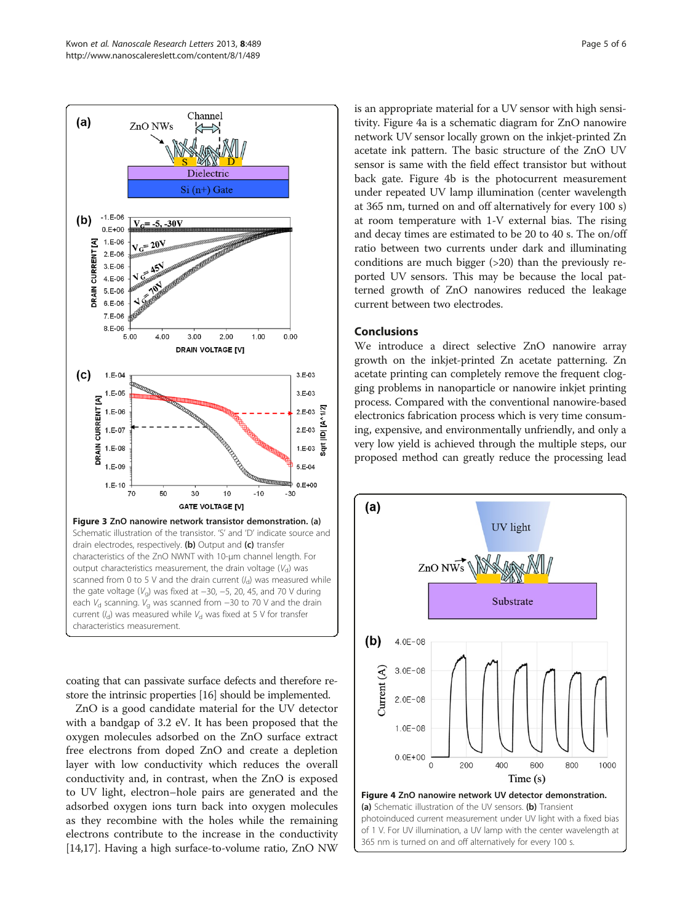<span id="page-4-0"></span>

coating that can passivate surface defects and therefore restore the intrinsic properties [\[16\]](#page-5-0) should be implemented.

ZnO is a good candidate material for the UV detector with a bandgap of 3.2 eV. It has been proposed that the oxygen molecules adsorbed on the ZnO surface extract free electrons from doped ZnO and create a depletion layer with low conductivity which reduces the overall conductivity and, in contrast, when the ZnO is exposed to UV light, electron–hole pairs are generated and the adsorbed oxygen ions turn back into oxygen molecules as they recombine with the holes while the remaining electrons contribute to the increase in the conductivity [[14,17](#page-5-0)]. Having a high surface-to-volume ratio, ZnO NW is an appropriate material for a UV sensor with high sensitivity. Figure 4a is a schematic diagram for ZnO nanowire network UV sensor locally grown on the inkjet-printed Zn acetate ink pattern. The basic structure of the ZnO UV sensor is same with the field effect transistor but without back gate. Figure 4b is the photocurrent measurement under repeated UV lamp illumination (center wavelength at 365 nm, turned on and off alternatively for every 100 s) at room temperature with 1-V external bias. The rising and decay times are estimated to be 20 to 40 s. The on/off ratio between two currents under dark and illuminating conditions are much bigger (>20) than the previously reported UV sensors. This may be because the local patterned growth of ZnO nanowires reduced the leakage current between two electrodes.

## Conclusions

We introduce a direct selective ZnO nanowire array growth on the inkjet-printed Zn acetate patterning. Zn acetate printing can completely remove the frequent clogging problems in nanoparticle or nanowire inkjet printing process. Compared with the conventional nanowire-based electronics fabrication process which is very time consuming, expensive, and environmentally unfriendly, and only a very low yield is achieved through the multiple steps, our proposed method can greatly reduce the processing lead